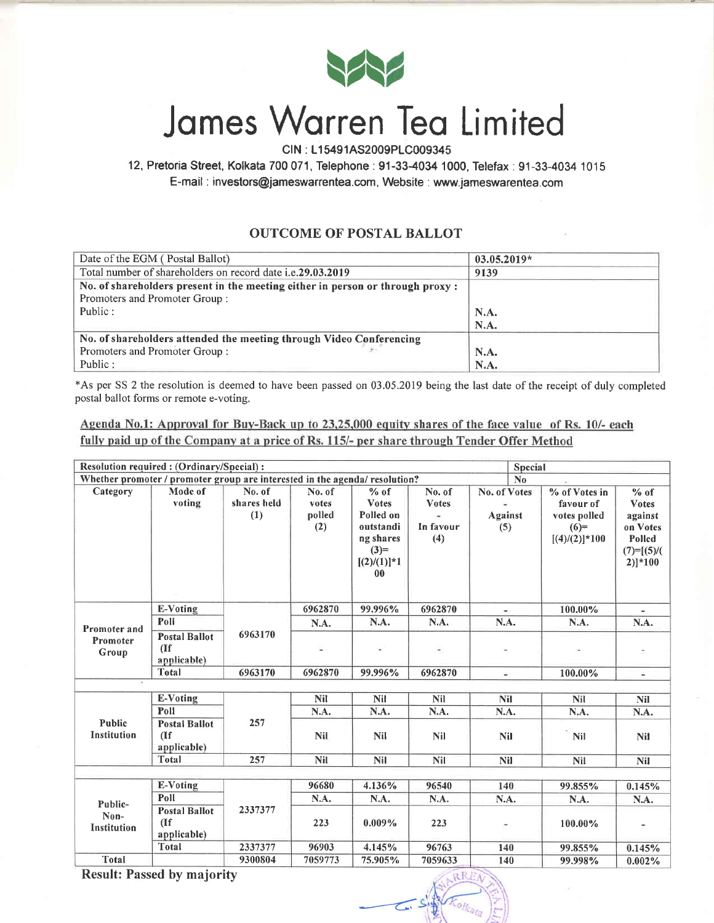

# Jomes Worren Teo Limited

CIN : L15491AS2009PLC009345

12, Pretoria Street, Kolkata 700 071, Telephone : 91-33-4034 1000, Telefax : 91-33-4034 1015 E-mail : investors@jameswarrentea.com, Website : www.jameswarentea.com

#### OUTCOME OF POSTAL BALLOT

| Date of the EGM (Postal Ballot)                                                | $03.05.2019*$ |
|--------------------------------------------------------------------------------|---------------|
| Total number of shareholders on record date <i>i.e.</i> 29.03.2019             | 9139          |
| No. of shareholders present in the meeting either in person or through proxy : |               |
| Promoters and Promoter Group:                                                  |               |
| Public:                                                                        | <b>N.A.</b>   |
|                                                                                | N.A.          |
| No. of shareholders attended the meeting through Video Conferencing            |               |
| Promoters and Promoter Group:                                                  | <b>N.A.</b>   |
| Public:                                                                        | N.A.          |

\*As per SS 2 the resolution is deemed to have been passed on 03.05.2019 being the last date of the receipt of duly completed postal ballot forms or remote e-voting.

Agenda No.1: Approval for Buy-Back up to 23,25,000 equity shares of the face value of Rs. 10/- each fully paid up of the Company at a price of Rs. 115/- per share through Tender Offer Method

| Resolution required: (Ordinary/Special):<br><b>Special</b>                                    |                                                  |                              |                                  |                                                                                                 |                                                              |                                       |                                                                         |                                                                                       |  |  |
|-----------------------------------------------------------------------------------------------|--------------------------------------------------|------------------------------|----------------------------------|-------------------------------------------------------------------------------------------------|--------------------------------------------------------------|---------------------------------------|-------------------------------------------------------------------------|---------------------------------------------------------------------------------------|--|--|
| Whether promoter / promoter group are interested in the agenda/ resolution?<br>N <sub>0</sub> |                                                  |                              |                                  |                                                                                                 |                                                              |                                       |                                                                         |                                                                                       |  |  |
| Category                                                                                      | Mode of<br>voting                                | No. of<br>shares held<br>(1) | No. of<br>votes<br>polled<br>(2) | $%$ of<br><b>Votes</b><br>Polled on<br>outstandi<br>ng shares<br>$(3)=$<br>$[(2)/(1)]$ *1<br>00 | No. of<br><b>Votes</b><br>$\blacksquare$<br>In favour<br>(4) | No. of Votes<br><b>Against</b><br>(5) | % of Votes in<br>favour of<br>votes polled<br>$(6)=$<br>$[(4)/(2)]*100$ | $%$ of<br><b>Votes</b><br>against<br>on Votes<br>Polled<br>$(7)=[(5)/($<br>$2)$  *100 |  |  |
|                                                                                               | E-Voting                                         |                              | 6962870                          | 99.996%                                                                                         | 6962870                                                      |                                       | 100.00%                                                                 | a.                                                                                    |  |  |
| Promoter and                                                                                  | Poli                                             |                              | N.A.                             | N.A.                                                                                            | N.A.                                                         | N.A.                                  | N.A.                                                                    | N.A.                                                                                  |  |  |
| Promoter<br>Group                                                                             | <b>Postal Ballot</b><br>(If<br>applicable)       | 6963170                      | $\overline{\phantom{a}}$         | $\overline{\phantom{a}}$                                                                        | $\bullet$                                                    | $\overline{\phantom{a}}$              |                                                                         | ÷                                                                                     |  |  |
|                                                                                               | <b>Total</b>                                     | 6963170                      | 6962870                          | 99.996%                                                                                         | 6962870                                                      | $\omega$ )                            | 100.00%                                                                 | ÷.                                                                                    |  |  |
|                                                                                               |                                                  |                              |                                  |                                                                                                 |                                                              |                                       |                                                                         |                                                                                       |  |  |
|                                                                                               | <b>E-Voting</b>                                  |                              | <b>Nil</b>                       | <b>Nil</b>                                                                                      | <b>Nil</b>                                                   | <b>Nil</b>                            | Nil                                                                     | <b>Nil</b>                                                                            |  |  |
|                                                                                               | Poll                                             |                              | N.A.                             | N.A.                                                                                            | N.A.                                                         | N.A.                                  | N.A.                                                                    | N.A.                                                                                  |  |  |
| Public<br><b>Institution</b>                                                                  | <b>Postal Ballot</b><br><b>If</b><br>applicable) | 257                          | <b>Nil</b>                       | <b>Nil</b>                                                                                      | <b>Nil</b>                                                   | Nil                                   | Nil                                                                     | <b>Nil</b>                                                                            |  |  |
|                                                                                               | <b>Total</b>                                     | 257                          | Nil                              | <b>Nil</b>                                                                                      | <b>Nil</b>                                                   | Nil                                   | <b>Nil</b>                                                              | Nil                                                                                   |  |  |
|                                                                                               |                                                  |                              |                                  |                                                                                                 |                                                              |                                       |                                                                         |                                                                                       |  |  |
|                                                                                               | E-Voting                                         |                              | 96680                            | 4.136%                                                                                          | 96540                                                        | 140                                   | 99.855%                                                                 | 0.145%                                                                                |  |  |
| Public-                                                                                       | Poll                                             |                              | N.A.                             | N.A.                                                                                            | N.A.                                                         | N.A.                                  | N.A.                                                                    | N.A.                                                                                  |  |  |
| Non-<br><b>Institution</b>                                                                    | <b>Postal Ballot</b><br>(If<br>applicable)       | 2337377                      | 223                              | $0.009\%$                                                                                       | 223                                                          | ۰                                     | 100.00%                                                                 |                                                                                       |  |  |
|                                                                                               | Total                                            | 2337377                      | 96903                            | 4.145%                                                                                          | 96763                                                        | 140                                   | 99.855%                                                                 | 0.145%                                                                                |  |  |
| <b>Total</b>                                                                                  |                                                  | 9300804                      | 7059773                          | 75.905%                                                                                         | 7059633                                                      | 140                                   | 99.998%                                                                 | 0.002%                                                                                |  |  |

Result: Passed by majorify

 $\overline{\phantom{0}}$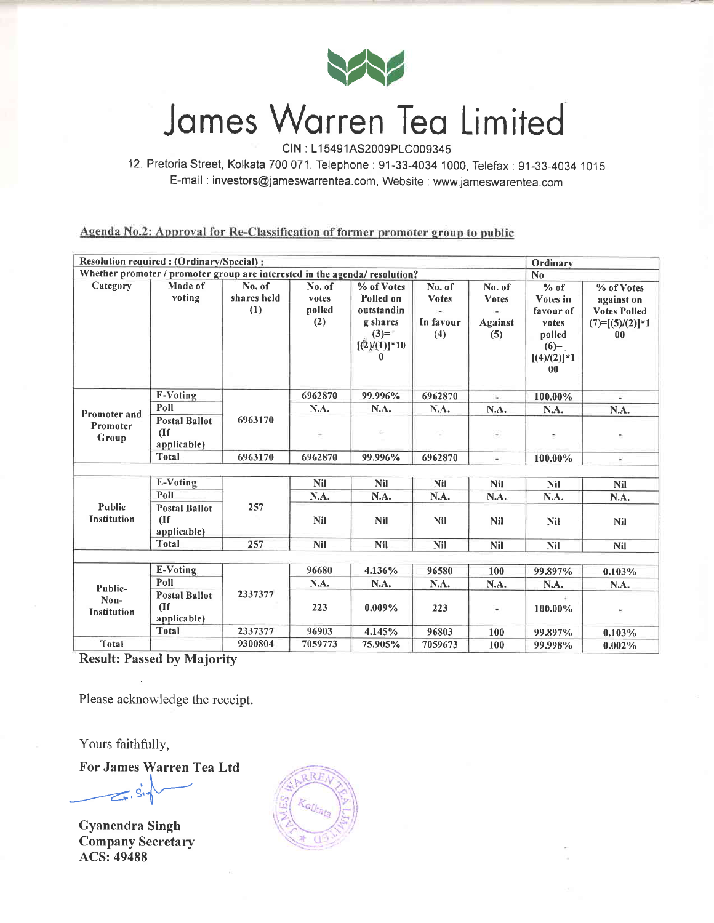

# Jomes Worren Teo Limited

CIN : L15491AS2009PLC009345

12, Pretoria Street, Kolkata 700 071, Telephone: 91-33-4034 1000, Telefax: 91-33-4034 1015 E-mail : investors@jameswarrentea.com, Website : www.jameswarentea.com

Agenda No.2: Approval for Re-Classification of former promoter group to public

| Resolution required : (Ordinary/Special) :<br>Ordinary                            |                                              |                              |                                  |                                                                                    |                                            |                                                 |                                                                                      |                                                                                |  |  |
|-----------------------------------------------------------------------------------|----------------------------------------------|------------------------------|----------------------------------|------------------------------------------------------------------------------------|--------------------------------------------|-------------------------------------------------|--------------------------------------------------------------------------------------|--------------------------------------------------------------------------------|--|--|
| Whether promoter / promoter group are interested in the agenda/ resolution?<br>No |                                              |                              |                                  |                                                                                    |                                            |                                                 |                                                                                      |                                                                                |  |  |
| Category                                                                          | Mode of<br>voting                            | No. of<br>shares held<br>(1) | No. of<br>votes<br>polled<br>(2) | % of Votes<br>Polled on<br>outstandin<br>g shares<br>$(3)$ =<br>$[2/(1)]$ *10<br>0 | No. of<br><b>Votes</b><br>In favour<br>(4) | No. of<br><b>Votes</b><br><b>Against</b><br>(5) | $%$ of<br>Votes in<br>favour of<br>votes<br>polled<br>$(6)=$<br>$[(4)/(2)]$ *1<br>00 | % of Votes<br>against on<br><b>Votes Polled</b><br>$(7)=[(5)/(2)]*1$<br>$00\,$ |  |  |
|                                                                                   | E-Voting                                     |                              | 6962870                          | 99.996%                                                                            | 6962870                                    | $\sim$                                          | 100.00%                                                                              |                                                                                |  |  |
|                                                                                   | Poll                                         |                              | N.A.                             | N.A.                                                                               | N.A.                                       | N.A.                                            | N.A.                                                                                 | N.A.                                                                           |  |  |
| Promoter and<br>Promoter<br>Group                                                 | <b>Postal Ballot</b><br>(If)<br>applicable)  | 6963170                      | $\blacksquare$                   | $\sim$                                                                             | $\overline{\phantom{a}}$                   | $\equiv$                                        | ä                                                                                    |                                                                                |  |  |
|                                                                                   | Total                                        | 6963170                      | 6962870                          | 99.996%                                                                            | 6962870                                    | $\omega$                                        | 100.00%                                                                              | ÷                                                                              |  |  |
|                                                                                   |                                              |                              |                                  |                                                                                    |                                            |                                                 |                                                                                      |                                                                                |  |  |
|                                                                                   | E-Voting                                     | 257                          | <b>Nil</b>                       | Nil                                                                                | Nil                                        | <b>Nil</b>                                      | <b>Nil</b>                                                                           | <b>Nil</b>                                                                     |  |  |
|                                                                                   | Poll                                         |                              | N.A.                             | N.A.                                                                               | N.A.                                       | N.A.                                            | N.A.                                                                                 | N.A.                                                                           |  |  |
| Public<br>Institution                                                             | <b>Postal Ballot</b><br>(If)<br>applicable). |                              | <b>Nil</b>                       | <b>Nil</b>                                                                         | <b>Nil</b>                                 | <b>Nil</b>                                      | <b>Nil</b>                                                                           | <b>Nil</b>                                                                     |  |  |
|                                                                                   | Total                                        | 257                          | <b>Nil</b>                       | <b>Nil</b>                                                                         | <b>Nil</b>                                 | <b>Nil</b>                                      | <b>Nil</b>                                                                           | <b>Nil</b>                                                                     |  |  |
|                                                                                   |                                              |                              |                                  |                                                                                    |                                            |                                                 |                                                                                      |                                                                                |  |  |
|                                                                                   | E-Voting                                     |                              | 96680                            | 4.136%                                                                             | 96580                                      | 100                                             | 99.897%                                                                              | 0.103%                                                                         |  |  |
| Public-<br>Non-<br><b>Institution</b>                                             | Poll                                         |                              | N.A.                             | N.A.                                                                               | N.A.                                       | N.A.                                            | N.A.                                                                                 | N.A.                                                                           |  |  |
|                                                                                   | <b>Postal Ballot</b><br>(If)<br>applicable)  | 2337377                      | 223                              | $0.009\%$                                                                          | 223                                        | $\blacksquare$                                  | 100.00%                                                                              | $\blacksquare$                                                                 |  |  |
|                                                                                   | <b>Total</b>                                 | 2337377                      | 96903                            | 4.145%                                                                             | 96803                                      | 100                                             | 99.897%                                                                              | 0.103%                                                                         |  |  |
| <b>Total</b>                                                                      |                                              | 9300804                      | 7059773                          | 75.905%                                                                            | 7059673                                    | 100                                             | 99.998%                                                                              | 0.002%                                                                         |  |  |

Result: Passed by Majorify

Please acknowledge the receipt.

Yours faithfully,

For James Warren Tea Ltd

I -------d  $s^i$ 

Gyanendra Singh Company Secretary ACS:49488

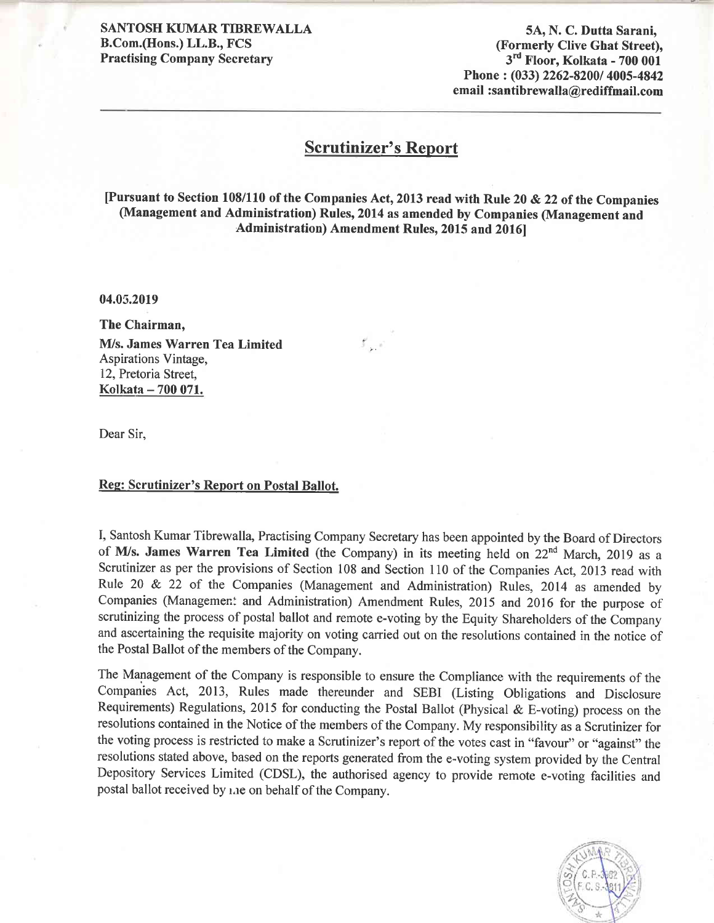SANTOSH KUMAR TIBREWALLA B.Com.(Hons.) LL.B., FCS Practising Company Secretary

5A, N. C. Dutta Sarani, (Formerly Clive Ghat Street), 3<sup>rd</sup> Floor, Kolkata - 700 001 Phone: (033) 2262-8200/4005-4842 email : santibrewalla@rediffmail.com

## Scrutinizer's Report

[Pursuant to Section 108/110 of the Companies Act, 2013 read with Rule 20 & 22 of the Companies (Management and Administration) Rules,2014 as amended by Companies (Management and Administration) Amendment Rules, 2015 and 20161

 $f_{\rm{in}}$ .

04.05.2019

The Chairman, M/s. James Warren Tea Limited Aspirations Vintage, 12, Pretoria Street, Kolkata - 700 071.

Dear Sir.

#### Reg: Scrutinizer's Report on Postal Ballot.

I, Santosh Kumar Tibrewalla, Practising Company Secretary has been appointed by the Board of Directors of M/s. James Warren Tea Limited (the Company) in its meeting held on  $22^{nd}$  March, 2019 as a Scrutinizer as per the provisions of Section 108 and Section 110 of the Companies Act, 2013 read with Rule 20 & 22 of the Companies (Management and Administration) Rules, 2014 as amended by Companies (Managemen: and Administration) Amendment Rules, 2015 and 2016 for the purpose of scrutinizing the process of postal ballot and remote e-voting by the Equity Shareholders of the Company and ascertaining the requisite majority on voting carried out on the resolutions contained in the notice of the Postal Ballot of the members of the Company.

The Management of the Company is responsible to ensure the Compliance with the requirements of the Companies Act, 2013, Rules made thereunder and SEBI (Listing Obligations and Disclosure Requirements) Regulations, 2015 for conducting the Postal Ballot (Physical & E-voting) process on the resolutions contained in the Notice of the members of the Company. My responsibility as a Scrutinizer for the voting process is restricted to make a Scrutinizer's report of the votes cast in "favour" or "against" the resolutions stated above, based on the reports generated from the e-voting system provided by the Central Depository Services Limited (CDSL), the authorised agency to provide remote e-voting facilities and postal ballot received by r.re on behalf of the Company.

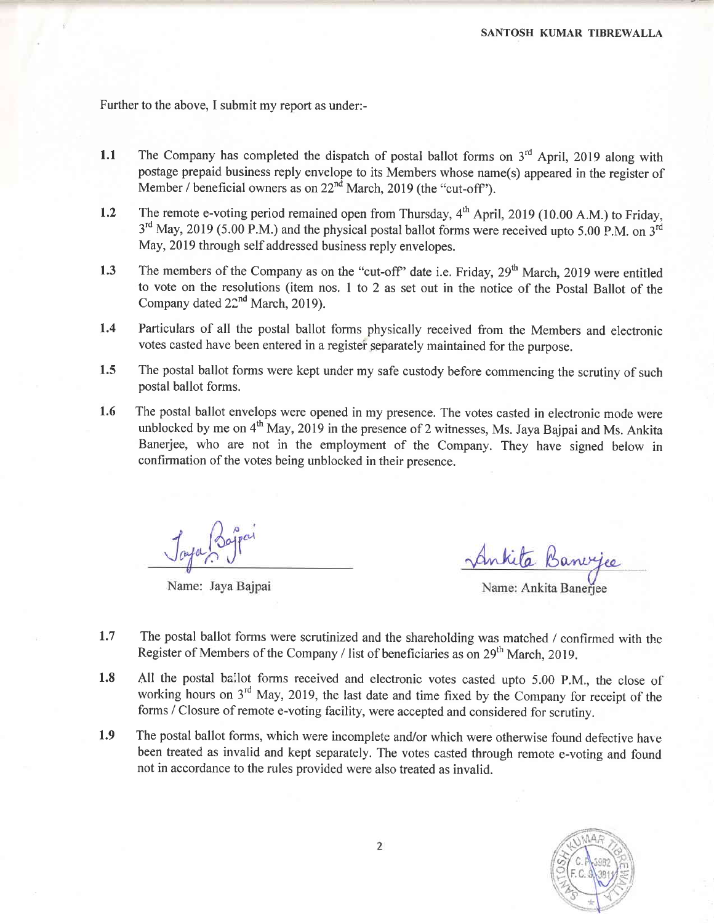Further to the above, I submit my report as under:-

- 1.1 The Company has completed the dispatch of postal ballot forms on  $3<sup>rd</sup>$  April, 2019 along with postage prepaid business reply envelope to its Members whose name(s) appeared in the register of Member / beneficial owners as on  $22<sup>nd</sup>$  March, 2019 (the "cut-off").
- t.2 The remote e-voting period remained open from Thursday, 4<sup>th</sup> April, 2019 (10.00 A.M.) to Friday, 3<sup>rd</sup> May, 2019 (5.00 P.M.) and the physical postal ballot forms were received upto 5.00 P.M. on 3<sup>rd</sup> May,2019 through self addressed business reply envelopes.
- The members of the Company as on the "cut-off" date i.e. Friday, 29<sup>th</sup> March, 2019 were entitled to vote on the resolutions (item nos. 1 to 2 as set out in the notice of the Postal Ballot of the Company dated  $22<sup>nd</sup> March$ , 2019). 1.3
- Particulars of all the postal ballot forms physically received from the Members and electronic votes casted have been entered in a register separately maintained for the purpose. 1.4
- The postal ballot forms were kept under my safe custody before commencing the scrutiny of such postal ballot forms. 1.5
- The postal ballot envelops were opened in my presence. The votes casted in electronic mode were unblocked by me on  $4<sup>th</sup>$  May, 2019 in the presence of 2 witnesses, Ms. Jaya Bajpai and Ms. Ankita Banerjee, who are not in the employment of the Company. They have signed below in confirmation of the votes being unblocked in their presence. 1.6

Name: Jaya Bajpai

Name: Ankita Baneriee

- 1.7 The postal ballot forms were scrutinized and the shareholding was matched / confirmed with the Register of Members of the Company / list of beneficiaries as on 29<sup>th</sup> March, 2019.
- 1.8 All the postal ballot forms received and electronic votes casted upto 5.00 P.M., the close of working hours on 3<sup>rd</sup> May, 2019, the last date and time fixed by the Company for receipt of the forms / Closure of remote e-voting facility, were accepted and considered for scrutiny.
- 1.9 The postal ballot forms, which were incomplete and/or which were otherwise found defective hare been treated as invalid and kept separately. The votes casted through remote e-voting and found not in accordance to the rules provided were also treated as invalid.

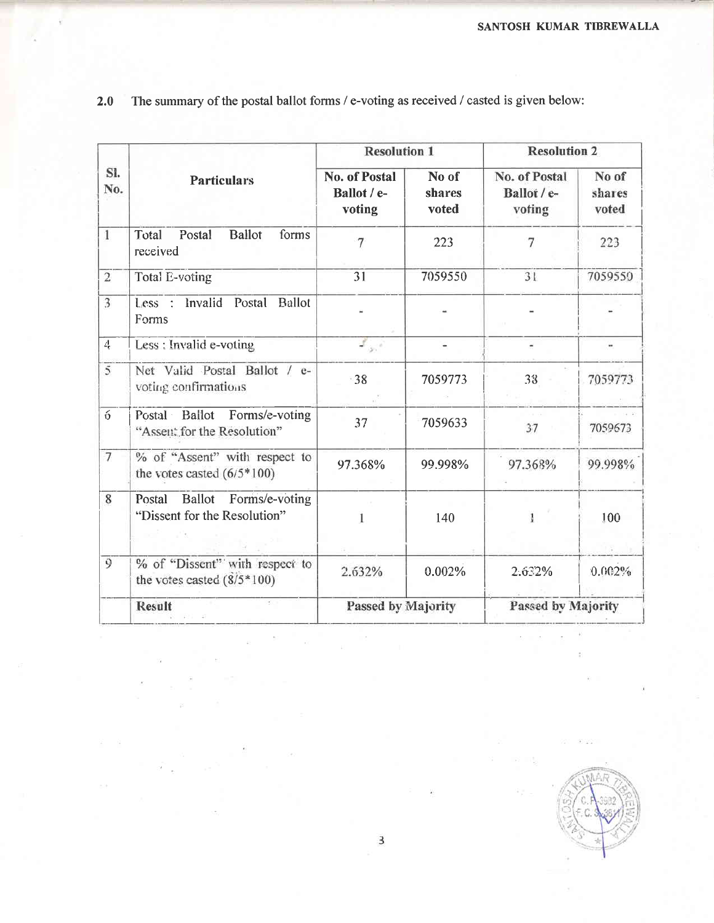|                                   |                                                                 | <b>Resolution 1</b>                           |                          | <b>Resolution 2</b>                    |                          |  |
|-----------------------------------|-----------------------------------------------------------------|-----------------------------------------------|--------------------------|----------------------------------------|--------------------------|--|
| SI.<br>No.                        | <b>Particulars</b>                                              | <b>No. of Postal</b><br>Ballot / e-<br>voting | No of<br>shares<br>voted | No. of Postal<br>Ballot / e-<br>voting | No of<br>shares<br>voted |  |
| $\mathbf{1}$                      | <b>Ballot</b><br>forms<br>Total<br>Postal<br>received           | 7                                             | 223                      | 7                                      | 223                      |  |
| $\overline{c}$                    | <b>Total E-voting</b>                                           | 31                                            | 7059550                  | 31                                     | 7059550                  |  |
| 3                                 | Less : lnvalid<br><b>Ballot</b><br>Postal<br>Forms              |                                               |                          |                                        |                          |  |
| $\mathcal{L}^{\pmb{1}}_{\pmb{r}}$ | Less : Invalid e-voting                                         | $J_{\alpha\beta}$                             | $\frac{1}{2}$            | $\overline{\phantom{a}}$               | $\dot{ }$                |  |
| 5                                 | Net Valid Postal Ballot / e-<br>voting confirmations            | 38                                            | 7059773                  | 33                                     | 7059773                  |  |
| $\ddot{\sigma}$                   | Postal Ballot Forms/e-voting<br>"Assent for the Resolution"     | 37                                            | 7059633                  | 37                                     | 7059673                  |  |
| $\overline{7}$                    | % of "Assent" with respect to<br>the votes casted $(6/5*100)$   | 97.368%                                       | 99.998%                  | 97.368%                                | 99.998%                  |  |
| 8                                 | Ballot Forms/e-voting<br>Postal<br>"Dissent for the Resolution" | 1                                             | 140                      | 1                                      | 100                      |  |
| $\ddot{9}$                        | % of "Dissent" with respect to<br>the votes casted $(8/5*100)$  | 2.632%                                        | 0.002%                   | 2.632%                                 | 0.002%                   |  |
|                                   | <b>Result</b><br>a en a                                         | Passed by Majority                            |                          | Passed by Majority                     |                          |  |

2.0 The summary of the postal ballot forms / e-voting as received / casted is given below:



 $\mathcal{F}(\mathcal{C})$  .  $\overline{\phantom{a}}$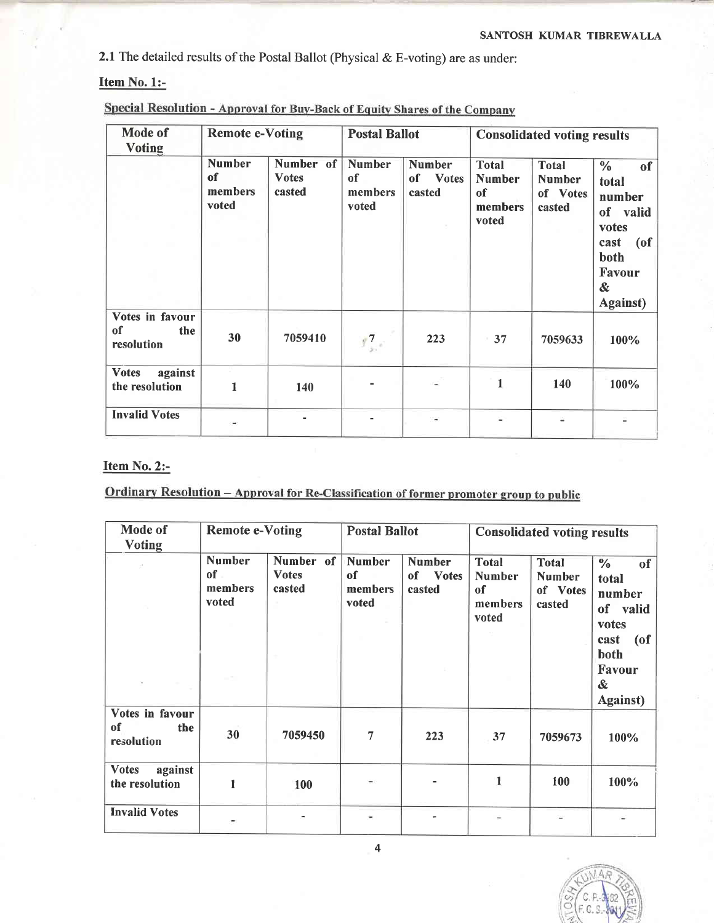2.1 The detailed results of the Postal Ballot (Physical & E-voting) are as under:

### Item No. 1:-

| Mode of<br><b>Voting</b>                   | <b>Remote e-Voting</b>                  |                                     | <b>Postal Ballot</b>                      |                                     | <b>Consolidated voting results</b>                                 |                                                     |                                                                                                                                 |  |
|--------------------------------------------|-----------------------------------------|-------------------------------------|-------------------------------------------|-------------------------------------|--------------------------------------------------------------------|-----------------------------------------------------|---------------------------------------------------------------------------------------------------------------------------------|--|
|                                            | <b>Number</b><br>of<br>members<br>voted | Number of<br><b>Votes</b><br>casted | <b>Number</b><br>of<br>members<br>voted   | <b>Number</b><br>of Votes<br>casted | <b>Total</b><br><b>Number</b><br><sub>of</sub><br>members<br>voted | <b>Total</b><br><b>Number</b><br>of Votes<br>casted | $\frac{0}{0}$<br>of<br>total<br>number<br>of valid<br>votes<br>$($ of<br>cast<br>both<br><b>Favour</b><br>&<br><b>Against</b> ) |  |
| Votes in favour<br>of<br>the<br>resolution | 30                                      | 7059410                             | $\frac{1}{2}$ $\frac{7}{2}$ $\frac{1}{2}$ | 223                                 | 37                                                                 | 7059633                                             | 100%                                                                                                                            |  |
| against<br><b>Votes</b><br>the resolution  | 1                                       | 140                                 |                                           |                                     | 1                                                                  | 140                                                 | 100%                                                                                                                            |  |
| <b>Invalid Votes</b>                       |                                         |                                     |                                           |                                     |                                                                    |                                                     |                                                                                                                                 |  |

Special Resolution - Approval for Buy-Back of Equity Shares of the Company

### Item No. 2:-

Ordinary Resolution - Approval for Re-Classification of former promoter group to public

| Mode of<br><b>Voting</b>                  | <b>Remote e-Voting</b>                  |                                     | <b>Postal Ballot</b>                    |                                     | <b>Consolidated voting results</b>                      |                                                     |                                                                                                                   |  |
|-------------------------------------------|-----------------------------------------|-------------------------------------|-----------------------------------------|-------------------------------------|---------------------------------------------------------|-----------------------------------------------------|-------------------------------------------------------------------------------------------------------------------|--|
|                                           | <b>Number</b><br>of<br>members<br>voted | Number of<br><b>Votes</b><br>casted | <b>Number</b><br>of<br>members<br>voted | <b>Number</b><br>of Votes<br>casted | <b>Total</b><br><b>Number</b><br>of<br>members<br>voted | <b>Total</b><br><b>Number</b><br>of Votes<br>casted | $\frac{0}{0}$<br>of<br>total<br>number<br>of valid<br>votes<br>cast<br>(of<br>both<br>Favour<br>$\boldsymbol{\&}$ |  |
| Votes in favour                           |                                         |                                     |                                         |                                     |                                                         |                                                     | <b>Against</b> )                                                                                                  |  |
| of<br>the<br>resolution                   | 30                                      | 7059450                             | 7                                       | 223                                 | 37                                                      | 7059673                                             | 100%                                                                                                              |  |
| <b>Votes</b><br>against<br>the resolution | 1                                       | 100                                 |                                         |                                     | 1                                                       | 100                                                 | 100%                                                                                                              |  |
| <b>Invalid Votes</b>                      |                                         |                                     |                                         |                                     |                                                         |                                                     |                                                                                                                   |  |



4